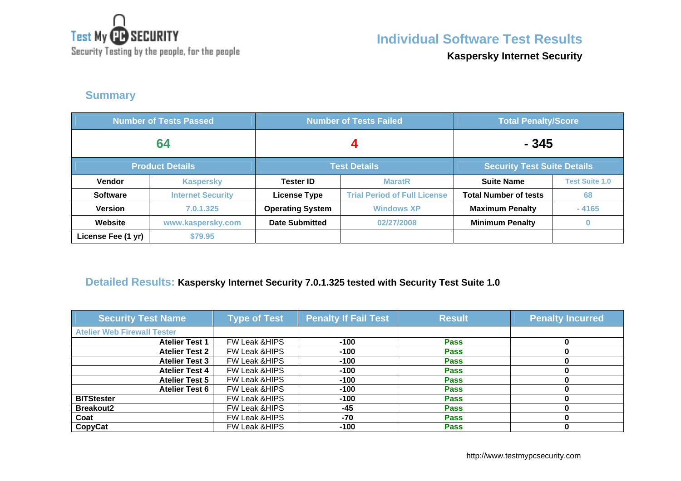

**Individual Software Test Results**

Security Testing by the people, for the people

**Kaspersky Internet Security**

### **Summary**

| <b>Number of Tests Passed</b> |                          |                         | <b>Number of Tests Failed</b>       | <b>Total Penalty/Score</b>         |                       |
|-------------------------------|--------------------------|-------------------------|-------------------------------------|------------------------------------|-----------------------|
| 64                            |                          |                         |                                     | - 345                              |                       |
|                               | <b>Product Details</b>   | <b>Test Details</b>     |                                     | <b>Security Test Suite Details</b> |                       |
| Vendor                        | <b>Kaspersky</b>         | <b>Tester ID</b>        | <b>MaratR</b>                       | <b>Suite Name</b>                  | <b>Test Suite 1.0</b> |
| <b>Software</b>               | <b>Internet Security</b> | <b>License Type</b>     | <b>Trial Period of Full License</b> | <b>Total Number of tests</b>       | 68                    |
| <b>Version</b>                | 7.0.1.325                | <b>Operating System</b> | <b>Windows XP</b>                   | <b>Maximum Penalty</b>             | $-4165$               |
| Website                       | www.kaspersky.com        | <b>Date Submitted</b>   | 02/27/2008                          | <b>Minimum Penalty</b>             |                       |
| License Fee (1 yr)            | \$79.95                  |                         |                                     |                                    |                       |

#### **Detailed Results: Kaspersky Internet Security 7.0.1.325 tested with Security Test Suite 1.0**

| <b>Security Test Name</b>          | <b>Type of Test</b>      | <b>Penalty If Fail Test</b> | <b>Result</b> | <b>Penalty Incurred</b> |
|------------------------------------|--------------------------|-----------------------------|---------------|-------------------------|
| <b>Atelier Web Firewall Tester</b> |                          |                             |               |                         |
| <b>Atelier Test 1</b>              | <b>FW Leak &amp;HIPS</b> | $-100$                      | <b>Pass</b>   |                         |
| <b>Atelier Test 2</b>              | <b>FW Leak &amp;HIPS</b> | $-100$                      | <b>Pass</b>   |                         |
| <b>Atelier Test 3</b>              | <b>FW Leak &amp;HIPS</b> | $-100$                      | <b>Pass</b>   |                         |
| <b>Atelier Test 4</b>              | <b>FW Leak &amp;HIPS</b> | $-100$                      | <b>Pass</b>   |                         |
| <b>Atelier Test 5</b>              | FW Leak & HIPS           | $-100$                      | <b>Pass</b>   |                         |
| <b>Atelier Test 6</b>              | <b>FW Leak &amp;HIPS</b> | $-100$                      | <b>Pass</b>   |                         |
| <b>BITStester</b>                  | <b>FW Leak &amp;HIPS</b> | $-100$                      | <b>Pass</b>   |                         |
| <b>Breakout2</b>                   | <b>FW Leak &amp;HIPS</b> | $-45$                       | <b>Pass</b>   |                         |
| Coat                               | FW Leak &HIPS            | $-70$                       | <b>Pass</b>   |                         |
| CopyCat                            | <b>FW Leak &amp;HIPS</b> | $-100$                      | <b>Pass</b>   |                         |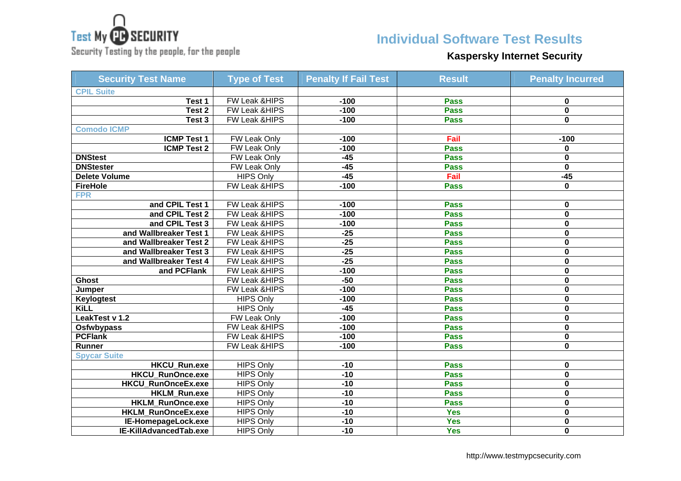

Security Testing by the people, for the people

### **Individual Software Test Results**

# **Kaspersky Internet Security**

| <b>Security Test Name</b> | <b>Type of Test</b>      | <b>Penalty If Fail Test</b> | <b>Result</b> | <b>Penalty Incurred</b> |
|---------------------------|--------------------------|-----------------------------|---------------|-------------------------|
| <b>CPIL Suite</b>         |                          |                             |               |                         |
| Test 1                    | FW Leak &HIPS            | $-100$                      | <b>Pass</b>   | 0                       |
| Test 2                    | FW Leak &HIPS            | $-100$                      | <b>Pass</b>   | 0                       |
| Test 3                    | <b>FW Leak &amp;HIPS</b> | $-100$                      | <b>Pass</b>   | 0                       |
| <b>Comodo ICMP</b>        |                          |                             |               |                         |
| <b>ICMP Test 1</b>        | <b>FW Leak Only</b>      | $-100$                      | Fail          | $-100$                  |
| <b>ICMP Test 2</b>        | <b>FW Leak Only</b>      | $-100$                      | <b>Pass</b>   | 0                       |
| <b>DNStest</b>            | <b>FW Leak Only</b>      | $-45$                       | <b>Pass</b>   | 0                       |
| <b>DNStester</b>          | FW Leak Only             | $-45$                       | <b>Pass</b>   | $\mathbf 0$             |
| Delete Volume             | <b>HIPS Only</b>         | $-45$                       | Fail          | $-45$                   |
| <b>FireHole</b>           | FW Leak &HIPS            | $-100$                      | <b>Pass</b>   | 0                       |
| <b>FPR</b>                |                          |                             |               |                         |
| and CPIL Test 1           | FW Leak &HIPS            | $-100$                      | <b>Pass</b>   | 0                       |
| and CPIL Test 2           | <b>FW Leak &amp;HIPS</b> | $-100$                      | <b>Pass</b>   | 0                       |
| and CPIL Test 3           | FW Leak &HIPS            | $-100$                      | <b>Pass</b>   | 0                       |
| and Wallbreaker Test 1    | FW Leak &HIPS            | $-25$                       | <b>Pass</b>   | 0                       |
| and Wallbreaker Test 2    | FW Leak &HIPS            | $-25$                       | <b>Pass</b>   | 0                       |
| and Wallbreaker Test 3    | FW Leak &HIPS            | $-25$                       | <b>Pass</b>   | $\mathbf 0$             |
| and Wallbreaker Test 4    | FW Leak &HIPS            | $-25$                       | <b>Pass</b>   | 0                       |
| and PCFlank               | <b>FW Leak &amp;HIPS</b> | $-100$                      | <b>Pass</b>   | $\overline{\mathbf{0}}$ |
| <b>Ghost</b>              | FW Leak & HIPS           | $-50$                       | <b>Pass</b>   | 0                       |
| Jumper                    | FW Leak &HIPS            | $-100$                      | <b>Pass</b>   | 0                       |
| Keylogtest                | <b>HIPS Only</b>         | $-100$                      | <b>Pass</b>   | 0                       |
| <b>KiLL</b>               | <b>HIPS Only</b>         | $-45$                       | <b>Pass</b>   | 0                       |
| LeakTest v 1.2            | FW Leak Only             | $-100$                      | <b>Pass</b>   | 0                       |
| <b>Osfwbypass</b>         | <b>FW Leak &amp;HIPS</b> | $-100$                      | <b>Pass</b>   | 0                       |
| <b>PCFlank</b>            | FW Leak & HIPS           | $-100$                      | <b>Pass</b>   | 0                       |
| Runner                    | <b>FW Leak &amp;HIPS</b> | $-100$                      | <b>Pass</b>   | 0                       |
| <b>Spycar Suite</b>       |                          |                             |               |                         |
| <b>HKCU Run.exe</b>       | <b>HIPS Only</b>         | $-10$                       | <b>Pass</b>   | 0                       |
| <b>HKCU RunOnce.exe</b>   | <b>HIPS Only</b>         | $-10$                       | <b>Pass</b>   | 0                       |
| HKCU_RunOnceEx.exe        | <b>HIPS Only</b>         | $-10$                       | <b>Pass</b>   | 0                       |
| <b>HKLM Run.exe</b>       | <b>HIPS Only</b>         | $-10$                       | <b>Pass</b>   | 0                       |
| <b>HKLM RunOnce.exe</b>   | <b>HIPS Only</b>         | $-10$                       | <b>Pass</b>   | 0                       |
| HKLM_RunOnceEx.exe        | <b>HIPS Only</b>         | $-10$                       | <b>Yes</b>    | 0                       |
| IE-HomepageLock.exe       | <b>HIPS Only</b>         | $-10$                       | <b>Yes</b>    | 0                       |
| IE-KillAdvancedTab.exe    | <b>HIPS Only</b>         | $-10$                       | <b>Yes</b>    | 0                       |